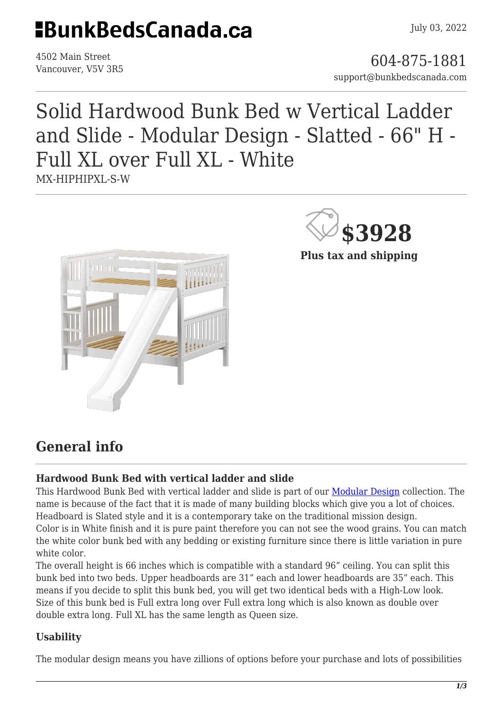## **HBunkBedsCanada.ca**

4502 Main Street

4502 Main Street<br>Vancouver, V5V 3R5 support@bunkbedscanada.com

### Solid Hardwood Bunk Bed w Vertical Ladder and Slide - Modular Design - Slatted - 66" H - Full XL over Full XL - White MX-HIPHIPXL-S-W



**\$3928**

**Plus tax and shipping**

### **General info**

#### **Hardwood Bunk Bed with vertical ladder and slide**

This Hardwood Bunk Bed with vertical ladder and slide is part of our [Modular Design](https://bunkbedscanada.com/about-modular-collection) collection. The name is because of the fact that it is made of many building blocks which give you a lot of choices. Headboard is Slated style and it is a contemporary take on the traditional mission design. Color is in White finish and it is pure paint therefore you can not see the wood grains. You can match the white color bunk bed with any bedding or existing furniture since there is little variation in pure white color.

The overall height is 66 inches which is compatible with a standard 96" ceiling. You can split this bunk bed into two beds. Upper headboards are 31" each and lower headboards are 35" each. This means if you decide to split this bunk bed, you will get two identical beds with a High-Low look. Size of this bunk bed is Full extra long over Full extra long which is also known as double over double extra long. Full XL has the same length as Queen size.

#### **Usability**

The modular design means you have zillions of options before your purchase and lots of possibilities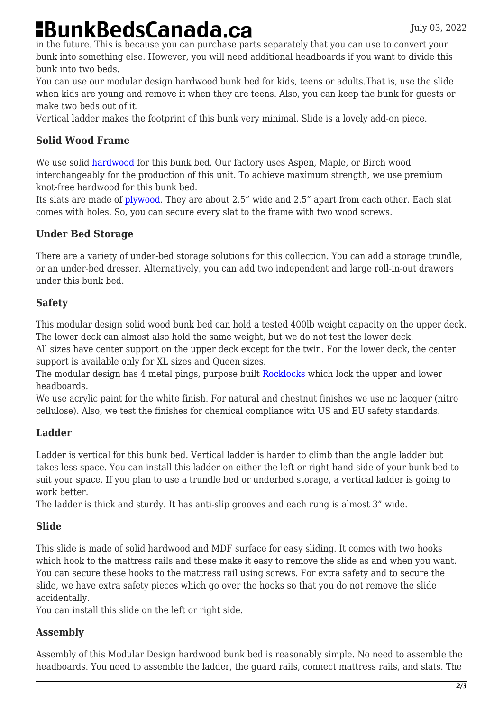# **BunkBedsCanada.ca**

in the future. This is because you can purchase parts separately that you can use to convert your bunk into something else. However, you will need additional headboards if you want to divide this bunk into two beds.

You can use our modular design hardwood bunk bed for kids, teens or adults.That is, use the slide when kids are young and remove it when they are teens. Also, you can keep the bunk for guests or make two beds out of it.

Vertical ladder makes the footprint of this bunk very minimal. Slide is a lovely add-on piece.

#### **Solid Wood Frame**

We use solid [hardwood](https://en.wikipedia.org/wiki/Hardwood) for this bunk bed. Our factory uses Aspen, Maple, or Birch wood interchangeably for the production of this unit. To achieve maximum strength, we use premium knot-free hardwood for this bunk bed.

Its slats are made of [plywood.](https://en.wikipedia.org/wiki/Plywood) They are about 2.5" wide and 2.5" apart from each other. Each slat comes with holes. So, you can secure every slat to the frame with two wood screws.

#### **Under Bed Storage**

There are a variety of under-bed storage solutions for this collection. You can add a storage trundle, or an under-bed dresser. Alternatively, you can add two independent and large roll-in-out drawers under this bunk bed.

#### **Safety**

This modular design solid wood bunk bed can hold a tested 400lb weight capacity on the upper deck. The lower deck can almost also hold the same weight, but we do not test the lower deck.

All sizes have center support on the upper deck except for the twin. For the lower deck, the center support is available only for XL sizes and Queen sizes.

The modular design has 4 metal pings, purpose built [Rocklocks](https://bunkbedscanada.com/rock-locks-set-of-4.html) which lock the upper and lower headboards.

We use acrylic paint for the white finish. For natural and chestnut finishes we use nc lacquer (nitro cellulose). Also, we test the finishes for chemical compliance with US and EU safety standards.

#### **Ladder**

Ladder is vertical for this bunk bed. Vertical ladder is harder to climb than the angle ladder but takes less space. You can install this ladder on either the left or right-hand side of your bunk bed to suit your space. If you plan to use a trundle bed or underbed storage, a vertical ladder is going to work better.

The ladder is thick and sturdy. It has anti-slip grooves and each rung is almost 3" wide.

#### **Slide**

This slide is made of solid hardwood and MDF surface for easy sliding. It comes with two hooks which hook to the mattress rails and these make it easy to remove the slide as and when you want. You can secure these hooks to the mattress rail using screws. For extra safety and to secure the slide, we have extra safety pieces which go over the hooks so that you do not remove the slide accidentally.

You can install this slide on the left or right side.

#### **Assembly**

Assembly of this Modular Design hardwood bunk bed is reasonably simple. No need to assemble the headboards. You need to assemble the ladder, the guard rails, connect mattress rails, and slats. The